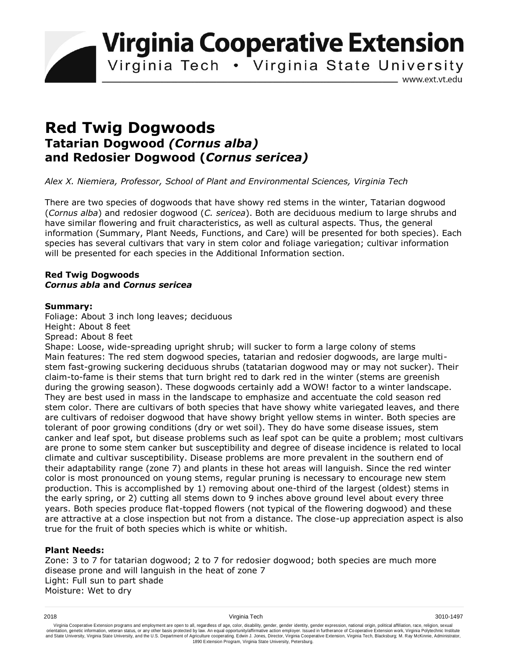**Virginia Cooperative Extension** 

Virginia Tech . Virginia State University

www.ext.vt.edu

# **Red Twig Dogwoods Tatarian Dogwood** *(Cornus alba)* **and Redosier Dogwood (***Cornus sericea)*

*Alex X. Niemiera, Professor, School of Plant and Environmental Sciences, Virginia Tech*

There are two species of dogwoods that have showy red stems in the winter, Tatarian dogwood (*Cornus alba*) and redosier dogwood (*C. sericea*). Both are deciduous medium to large shrubs and have similar flowering and fruit characteristics, as well as cultural aspects. Thus, the general information (Summary, Plant Needs, Functions, and Care) will be presented for both species). Each species has several cultivars that vary in stem color and foliage variegation; cultivar information will be presented for each species in the Additional Information section.

## **Red Twig Dogwoods** *Cornus abla* **and** *Cornus sericea*

## **Summary:**

Foliage: About 3 inch long leaves; deciduous Height: About 8 feet Spread: About 8 feet

Shape: Loose, wide-spreading upright shrub; will sucker to form a large colony of stems Main features: The red stem dogwood species, tatarian and redosier dogwoods, are large multistem fast-growing suckering deciduous shrubs (tatatarian dogwood may or may not sucker). Their claim-to-fame is their stems that turn bright red to dark red in the winter (stems are greenish during the growing season). These dogwoods certainly add a WOW! factor to a winter landscape. They are best used in mass in the landscape to emphasize and accentuate the cold season red stem color. There are cultivars of both species that have showy white variegated leaves, and there are cultivars of redoiser dogwood that have showy bright yellow stems in winter. Both species are tolerant of poor growing conditions (dry or wet soil). They do have some disease issues, stem canker and leaf spot, but disease problems such as leaf spot can be quite a problem; most cultivars are prone to some stem canker but susceptibility and degree of disease incidence is related to local climate and cultivar susceptibility. Disease problems are more prevalent in the southern end of their adaptability range (zone 7) and plants in these hot areas will languish. Since the red winter color is most pronounced on young stems, regular pruning is necessary to encourage new stem production. This is accomplished by 1) removing about one-third of the largest (oldest) stems in the early spring, or 2) cutting all stems down to 9 inches above ground level about every three years. Both species produce flat-topped flowers (not typical of the flowering dogwood) and these are attractive at a close inspection but not from a distance. The close-up appreciation aspect is also true for the fruit of both species which is white or whitish.

## **Plant Needs:**

Zone: 3 to 7 for tatarian dogwood; 2 to 7 for redosier dogwood; both species are much more disease prone and will languish in the heat of zone 7 Light: Full sun to part shade Moisture: Wet to dry

Virginia Cooperative Extension programs and employment are open to all, regardless of age, color, disability, gender, gender identity, gender expression, national origin, political affiliation, race, religion, sexual وrie 1890 Extension Program, Virginia State University, Petersburg.